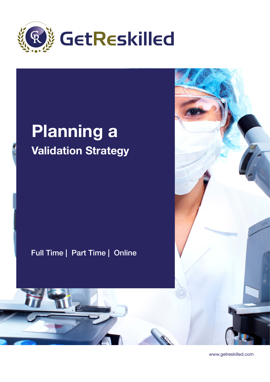

## Planning a Validation Strategy

Full Time | Part Time | Online

Z



www.getreskilled.com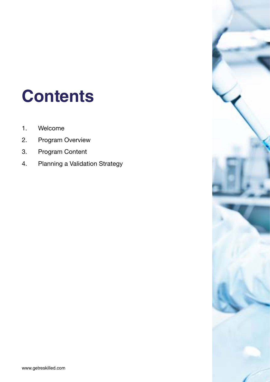## **Contents**

- 1. Welcome
- 2. Program Overview
- 3. Program Content
- 4. Planning a Validation Strategy

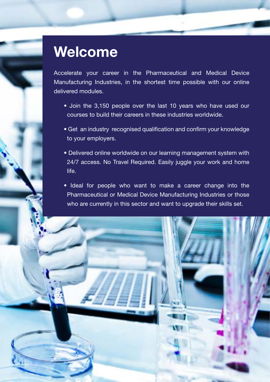## Welcome

Accelerate your career in the Pharmaceutical and Medical Device Manufacturing Industries, in the shortest time possible with our online delivered modules.

- Join the 3,150 people over the last 10 years who have used our courses to build their careers in these industries worldwide.
- Get an industry recognised qualification and confirm your knowledge to your employers.
- Delivered online worldwide on our learning management system with 24/7 access. No Travel Required. Easily juggle your work and home life.
- Ideal for people who want to make a career change into the Pharmaceutical or Medical Device Manufacturing Industries or those who are currently in this sector and want to upgrade their skills set.

www.getreskilled.com 33 and 33 and 33 and 33 and 33 and 33 and 33 and 33 and 33 and 33 and 33 and 33 and 33 and 33 and 33 and 33 and 33 and 33 and 33 and 33 and 33 and 33 and 33 and 33 and 33 and 33 and 33 and 33 and 33 an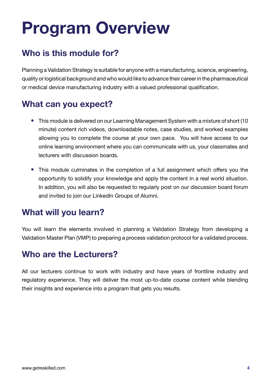## Program Overview

## Who is this module for?

Planning a Validation Strategy is suitable for anyone with a manufacturing, science, engineering, quality or logistical background and who would like to advance their career in the pharmaceutical or medical device manufacturing industry with a valued professional qualification.

## What can you expect?

- This module is delivered on our Learning Management System with a mixture of short (10 minute) content rich videos, downloadable notes, case studies, and worked examples allowing you to complete the course at your own pace. You will have access to our online learning environment where you can communicate with us, your classmates and lecturers with discussion boards.
- This module culminates in the completion of a full assignment which offers you the opportunity to solidify your knowledge and apply the content in a real world situation. In addition, you will also be requested to regularly post on our discussion board forum and invited to join our LinkedIn Groups of Alumni.

## What will you learn?

You will learn the elements involved in planning a Validation Strategy from developing a Validation Master Plan (VMP) to preparing a process validation protocol for a validated process.

## Who are the Lecturers?

All our lecturers continue to work with industry and have years of frontline industry and regulatory experience. They will deliver the most up-to-date course content while blending their insights and experience into a program that gets you results.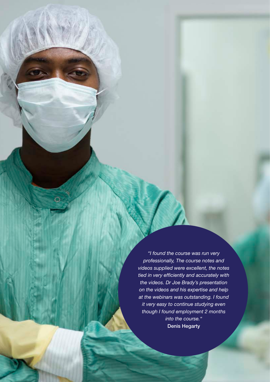*"I found the course was run very professionally, The course notes and videos supplied were excellent, the notes tied in very efficiently and accurately with the videos. Dr Joe Brady's presentation on the videos and his expertise and help at the webinars was outstanding. I found it very easy to continue studying even though I found employment 2 months into the course."* Denis Hegarty

ww.getreskilled.com 55 and 55 and 55 and 55 and 55 and 55 and 55 and 55 and 55 and 55 and 55 and 55 and 55 and 55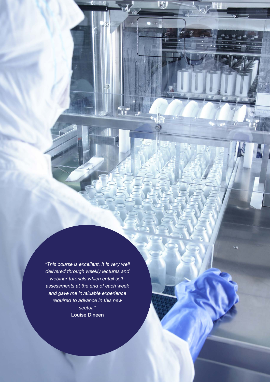*"This course is excellent. It is very well delivered through weekly lectures and webinar tutorials which entail selfassessments at the end of each week and gave me invaluable experience required to advance in this new sector."* Louise Dineen

ww.getreskilled.com 66 million and 66 million and 66 million and 66 million and 66 million and 66 million and 6

 $\overline{\mathbf{G}}$ 

m

 $\bar{\omega}$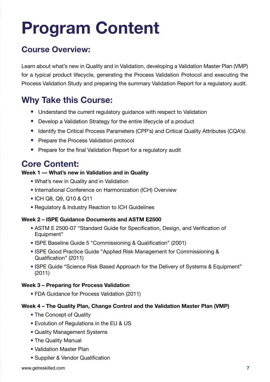# Program Content

## Course Overview:

Learn about what's new in Quality and in Validation, developing a Validation Master Plan (VMP) for a typical product lifecycle, generating the Process Validation Protocol and executing the Process Validation Study and preparing the summary Validation Report for a regulatory audit.

## Why Take this Course:

- Understand the current regulatory guidance with respect to Validation
- Develop a Validation Strategy for the entire lifecycle of a product
- Identify the Critical Process Parameters (CPP's) and Critical Quality Attributes (CQA's)
- Prepare the Process Validation protocol
- Prepare for the final Validation Report for a regulatory audit

### Core Content:

#### Week 1 –– What's new in Validation and in Quality

- What's new in Quality and in Validation
- International Conference on Harmonization (ICH) Overview
- ICH Q8, Q9, Q10 & Q11
- Regulatory & Industry Reaction to ICH Guidelines

#### Week 2 – ISPE Guidance Documents and ASTM E2500

- ASTM E 2500-07 "Standard Guide for Specification, Design, and Verification of Equipment"
- ISPE Baseline Guide 5 "Commissioning & Qualification" (2001)
- ISPE Good Practice Guide "Applied Risk Management for Commissioning & Qualification" (2011)
- ISPE Guide "Science Risk Based Approach for the Delivery of Systems & Equipment" (2011)

#### Week 3 – Preparing for Process Validation

• FDA Guidance for Process Validation (2011)

#### Week 4 – The Quality Plan, Change Control and the Validation Master Plan (VMP)

- The Concept of Quality
- Evolution of Regulations in the EU & US
- Quality Management Systems
- The Quality Manual
- Validation Master Plan
- Supplier & Vendor Qualification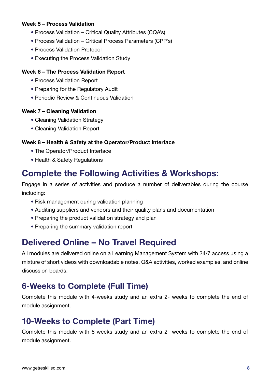#### Week 5 – Process Validation

- Process Validation Critical Quality Attributes (CQA's)
- Process Validation Critical Process Parameters (CPP's)
- Process Validation Protocol
- Executing the Process Validation Study

#### Week 6 – The Process Validation Report

- Process Validation Report
- Preparing for the Regulatory Audit
- Periodic Review & Continuous Validation

#### Week 7 – Cleaning Validation

- Cleaning Validation Strategy
- Cleaning Validation Report

#### Week 8 – Health & Safety at the Operator/Product Interface

- The Operator/Product Interface
- Health & Safety Regulations

### Complete the Following Activities & Workshops:

Engage in a series of activities and produce a number of deliverables during the course including:

- Risk management during validation planning
- Auditing suppliers and vendors and their quality plans and documentation
- Preparing the product validation strategy and plan
- Preparing the summary validation report

## Delivered Online – No Travel Required

All modules are delivered online on a Learning Management System with 24/7 access using a mixture of short videos with downloadable notes, Q&A activities, worked examples, and online discussion boards.

### 6-Weeks to Complete (Full Time)

Complete this module with 4-weeks study and an extra 2- weeks to complete the end of module assignment.

### 10-Weeks to Complete (Part Time)

Complete this module with 8-weeks study and an extra 2- weeks to complete the end of module assignment.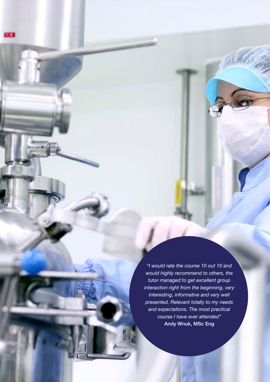*"I would rate the course 10 out 10 and would highly recommend to others, the tutor managed to get excellent group interaction right from the beginning, very interesting, informative and very well presented. Relevant totally to my needs and expectations. The most practical course I have ever attended"* Andy Wnuk, MSc Eng

www.getreskilled.com **9**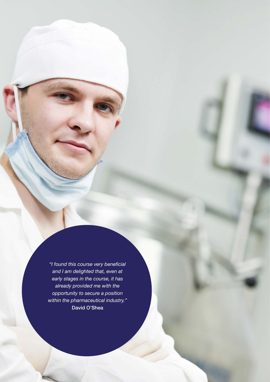*"I found this course very beneficial and I am delighted that, even at early stages in the course, it has already provided me with the opportunity to secure a position within the pharmaceutical industry."* David O'Shea

www.getreskilled.com 100 million 100 million 100 million 100 million 100 million 100 million 100 million 100 million 100 million 100 million 100 million 100 million 100 million 100 million 100 million 100 million 100 milli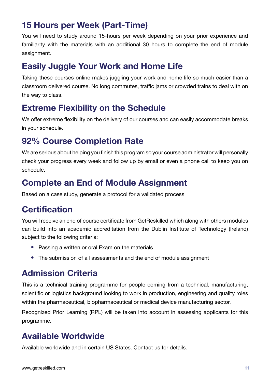## 15 Hours per Week (Part-Time)

You will need to study around 15-hours per week depending on your prior experience and familiarity with the materials with an additional 30 hours to complete the end of module assignment.

## Easily Juggle Your Work and Home Life

Taking these courses online makes juggling your work and home life so much easier than a classroom delivered course. No long commutes, traffic jams or crowded trains to deal with on the way to class.

## Extreme Flexibility on the Schedule

We offer extreme flexibility on the delivery of our courses and can easily accommodate breaks in your schedule.

## 92% Course Completion Rate

We are serious about helping you finish this program so your course administrator will personally check your progress every week and follow up by email or even a phone call to keep you on schedule.

## Complete an End of Module Assignment

Based on a case study, generate a protocol for a validated process

## **Certification**

You will receive an end of course certificate from GetReskilled which along with others modules can build into an academic accreditation from the Dublin Institute of Technology (Ireland) subject to the following criteria:

- Passing a written or oral Exam on the materials
- The submission of all assessments and the end of module assignment

## Admission Criteria

This is a technical training programme for people coming from a technical, manufacturing, scientific or logistics background looking to work in production, engineering and quality roles within the pharmaceutical, biopharmaceutical or medical device manufacturing sector.

Recognized Prior Learning (RPL) will be taken into account in assessing applicants for this programme.

## Available Worldwide

Available worldwide and in certain US States. Contact us for details.